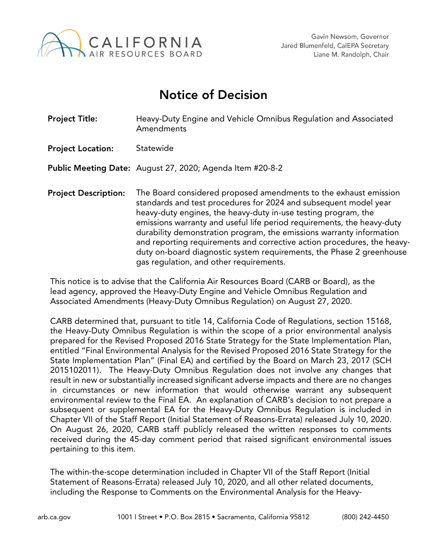

## Notice of Decision

| <b>Project Title:</b>       | Heavy-Duty Engine and Vehicle Omnibus Regulation and Associated<br>Amendments                                                                                                                                                                                                                                                                                                                                                                                                                                                                          |
|-----------------------------|--------------------------------------------------------------------------------------------------------------------------------------------------------------------------------------------------------------------------------------------------------------------------------------------------------------------------------------------------------------------------------------------------------------------------------------------------------------------------------------------------------------------------------------------------------|
| <b>Project Location:</b>    | Statewide                                                                                                                                                                                                                                                                                                                                                                                                                                                                                                                                              |
|                             | Public Meeting Date: August 27, 2020; Agenda Item #20-8-2                                                                                                                                                                                                                                                                                                                                                                                                                                                                                              |
| <b>Project Description:</b> | The Board considered proposed amendments to the exhaust emission<br>standards and test procedures for 2024 and subsequent model year<br>heavy-duty engines, the heavy-duty in-use testing program, the<br>emissions warranty and useful life period requirements, the heavy-duty<br>durability demonstration program, the emissions warranty information<br>and reporting requirements and corrective action procedures, the heavy-<br>duty on-board diagnostic system requirements, the Phase 2 greenhouse<br>gas regulation, and other requirements. |

This notice is to advise that the California Air Resources Board (CARB or Board), as the lead agency, approved the Heavy-Duty Engine and Vehicle Omnibus Regulation and Associated Amendments (Heavy-Duty Omnibus Regulation) on August 27, 2020.

CARB determined that, pursuant to title 14, California Code of Regulations, section 15168, the Heavy-Duty Omnibus Regulation is within the scope of a prior environmental analysis prepared for the Revised Proposed 2016 State Strategy for the State Implementation Plan, entitled "Final Environmental Analysis for the Revised Proposed 2016 State Strategy for the State Implementation Plan" (Final EA) and certified by the Board on March 23, 2017 (SCH 2015102011). The Heavy-Duty Omnibus Regulation does not involve any changes that result in new or substantially increased significant adverse impacts and there are no changes in circumstances or new information that would otherwise warrant any subsequent environmental review to the Final EA. An explanation of CARB's decision to not prepare a subsequent or supplemental EA for the Heavy-Duty Omnibus Regulation is included in Chapter VII of the Staff Report (Initial Statement of Reasons-Errata) released July 10, 2020. On August 26, 2020, CARB staff publicly released the written responses to comments received during the 45-day comment period that raised significant environmental issues pertaining to this item.

The within-the-scope determination included in Chapter VII of the Staff Report (Initial Statement of Reasons-Errata) released July 10, 2020, and all other related documents, including the Response to Comments on the Environmental Analysis for the Heavy